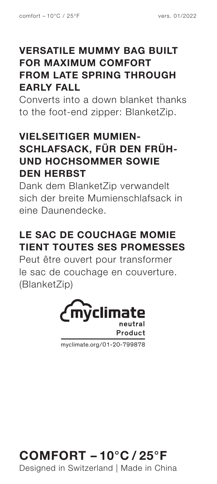#### **VERSATILE MUMMY BAG BUILT FOR MAXIMUM COMFORT FROM LATE SPRING THROUGH EARLY FALL**

Converts into a down blanket thanks to the foot-end zipper: BlanketZip.

#### **VIELSEITIGER MUMIEN-SCHLAFSACK, FÜR DEN FRÜH-UND HOCHSOMMER SOWIE DEN HERBST**

Dank dem BlanketZip verwandelt sich der breite Mumienschlafsack in eine Daunendecke.

### **LE SAC DE COUCHAGE MOMIE TIENT TOUTES SES PROMESSES**

Peut être ouvert pour transformer le sac de couchage en couverture. (BlanketZip)



myclimate.org/01-20-799878

## **COMFORT – 10°C / 25°F**

Designed in Switzerland | Made in China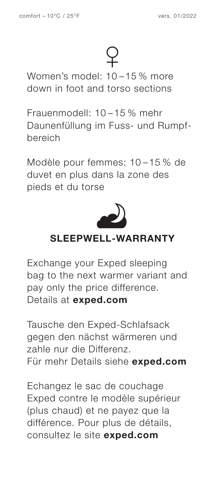Women's model: 10 – 15 % more down in foot and torso sections

Frauenmodell: 10 – 15 % mehr Daunenfüllung im Fuss- und Rumpfbereich

Modèle pour femmes: 10 – 15 % de duvet en plus dans la zone des pieds et du torse



#### **SLEEPWELL-WARRANTY**

Exchange your Exped sleeping bag to the next warmer variant and pay only the price difference. Details at **exped.com**

Tausche den Exped-Schlafsack gegen den nächst wärmeren und zahle nur die Differenz. Für mehr Details siehe **exped.com**

Echangez le sac de couchage Exped contre le modèle supérieur (plus chaud) et ne payez que la différence. Pour plus de détails, consultez le site **exped.com**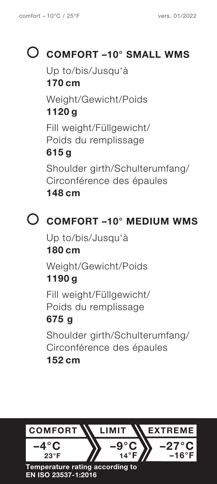# **COMFORT –10° SMALL WMS**

Up to/bis/Jusqu'à **170 cm** Weight/Gewicht/Poids **1120 g** Fill weight/Füllgewicht/

Poids du remplissage

### **615 g**

Shoulder girth/Schulterumfang/ Circonférence des épaules **148 cm**

## **COMFORT –10° MEDIUM WMS**

Up to/bis/Jusqu'à **180 cm** Weight/Gewicht/Poids **1190 g**

Fill weight/Füllgewicht/ Poids du remplissage

### **675 g**

Shoulder girth/Schulterumfang/ Circonférence des épaules **152 cm**

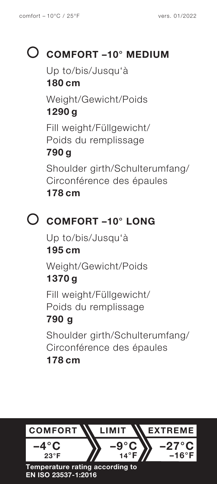## **COMFORT –10° MEDIUM**

Up to/bis/Jusqu'à

#### **180 cm**

Weight/Gewicht/Poids **1290 g**

Fill weight/Füllgewicht/ Poids du remplissage

#### **790 g**

Shoulder girth/Schulterumfang/ Circonférence des épaules **178 cm**

### **COMFORT –10° LONG**

Up to/bis/Jusqu'à **195 cm** Weight/Gewicht/Poids **1370 g**

Fill weight/Füllgewicht/ Poids du remplissage

### **790 g**

Shoulder girth/Schulterumfang/ Circonférence des épaules **178 cm**

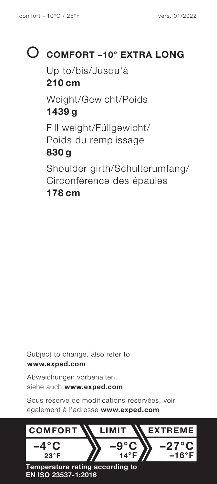# **COMFORT –10° EXTRA LONG**

Up to/bis/Jusqu'à **210 cm** Weight/Gewicht/Poids **1439 g** Fill weight/Füllgewicht/ Poids du remplissage **830 g** Shoulder girth/Schulterumfang/ Circonférence des épaules **178 cm**

Subject to change. also refer to **www.exped.com**

Abweichungen vorbehalten. siehe auch **www.exped.com**

Sous réserve de modifications réservées, voir également à l'adresse **www.exped.com**



**EN ISO 23537-1:2016**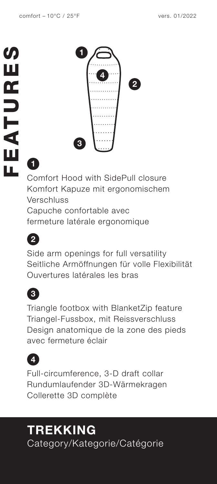

# **1**

Comfort Hood with SidePull closure Komfort Kapuze mit ergonomischem Verschluss Capuche confortable avec

fermeture latérale ergonomique



Side arm openings for full versatility Seitliche Armöffnungen für volle Flexibilität Ouvertures latérales les bras



Triangle footbox with BlanketZip feature Triangel-Fussbox, mit Reissverschluss Design anatomique de la zone des pieds avec fermeture éclair



Full-circumference, 3-D draft collar Rundumlaufender 3D-Wärmekragen Collerette 3D complète

## **TREKKING** Category/Kategorie/Catégorie